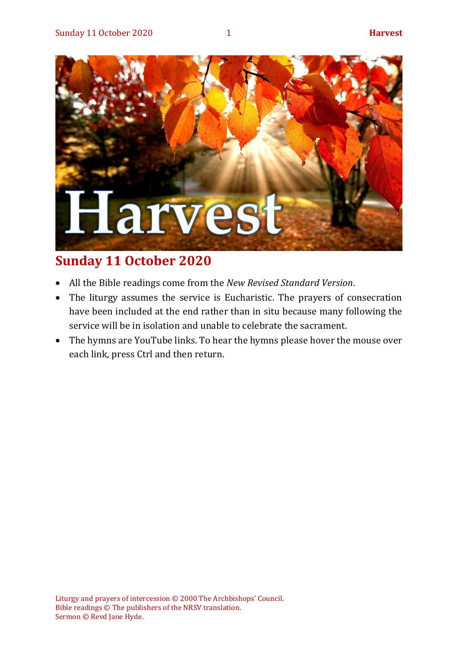

# **Sunday 11 October 2020**

- All the Bible readings come from the *New Revised Standard Version*.
- The liturgy assumes the service is Eucharistic. The prayers of consecration have been included at the end rather than in situ because many following the service will be in isolation and unable to celebrate the sacrament.
- The hymns are YouTube links. To hear the hymns please hover the mouse over each link, press Ctrl and then return.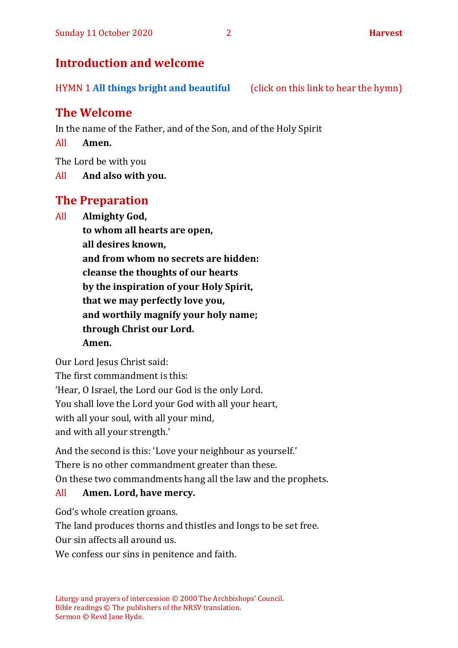## **Introduction and welcome**

HYMN 1 **[All things bright and beautiful](https://www.youtube.com/watch?v=iUnQMvwaXlc)** (click on this link to hear the hymn)

# **The Welcome**

In the name of the Father, and of the Son, and of the Holy Spirit

All **Amen.**

The Lord be with you

All **And also with you.**

# **The Preparation**

All **Almighty God,**

**to whom all hearts are open, all desires known, and from whom no secrets are hidden: cleanse the thoughts of our hearts by the inspiration of your Holy Spirit, that we may perfectly love you, and worthily magnify your holy name; through Christ our Lord. Amen.**

Our Lord Jesus Christ said:

The first commandment is this: 'Hear, O Israel, the Lord our God is the only Lord. You shall love the Lord your God with all your heart, with all your soul, with all your mind, and with all your strength.'

And the second is this: 'Love your neighbour as yourself.' There is no other commandment greater than these. On these two commandments hang all the law and the prophets.

#### All **Amen. Lord, have mercy.**

God's whole creation groans.

The land produces thorns and thistles and longs to be set free.

Our sin affects all around us.

We confess our sins in penitence and faith.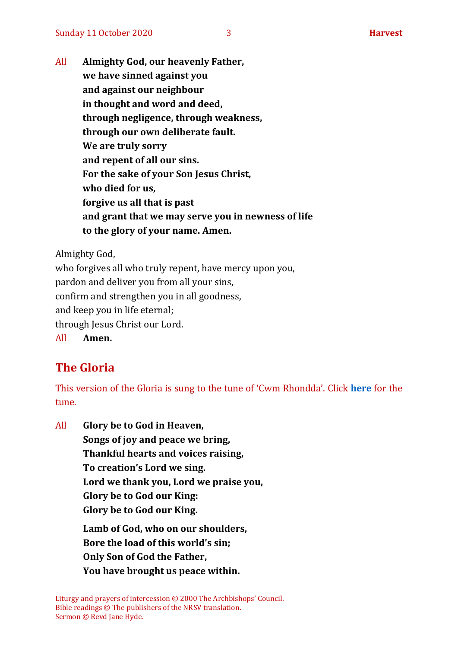All **Almighty God, our heavenly Father, we have sinned against you and against our neighbour in thought and word and deed, through negligence, through weakness, through our own deliberate fault. We are truly sorry and repent of all our sins. For the sake of your Son Jesus Christ, who died for us, forgive us all that is past and grant that we may serve you in newness of life to the glory of your name. Amen.**

Almighty God,

who forgives all who truly repent, have mercy upon you, pardon and deliver you from all your sins, confirm and strengthen you in all goodness, and keep you in life eternal; through Jesus Christ our Lord. All **Amen.**

# **The Gloria**

This version of the Gloria is sung to the tune of 'Cwm Rhondda'. Click **[here](about:blank)** for the tune.

All **Glory be to God in Heaven, Songs of joy and peace we bring, Thankful hearts and voices raising, To creation's Lord we sing. Lord we thank you, Lord we praise you, Glory be to God our King: Glory be to God our King. Lamb of God, who on our shoulders, Bore the load of this world's sin; Only Son of God the Father, You have brought us peace within.**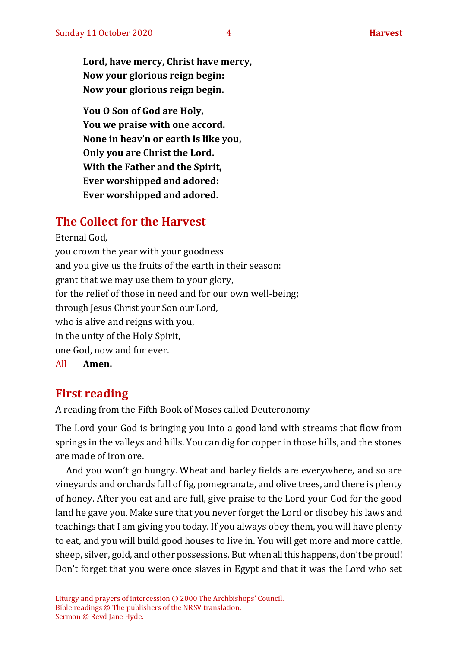**Lord, have mercy, Christ have mercy, Now your glorious reign begin: Now your glorious reign begin.**

**You O Son of God are Holy, You we praise with one accord. None in heav'n or earth is like you, Only you are Christ the Lord. With the Father and the Spirit, Ever worshipped and adored: Ever worshipped and adored.**

## **The Collect for the Harvest**

Eternal God, you crown the year with your goodness and you give us the fruits of the earth in their season: grant that we may use them to your glory, for the relief of those in need and for our own well-being; through Jesus Christ your Son our Lord, who is alive and reigns with you, in the unity of the Holy Spirit, one God, now and for ever. All **Amen.**

## **First reading**

A reading from the Fifth Book of Moses called Deuteronomy

The Lord your God is bringing you into a good land with streams that flow from springs in the valleys and hills. You can dig for copper in those hills, and the stones are made of iron ore.

And you won't go hungry. Wheat and barley fields are everywhere, and so are vineyards and orchards full of fig, pomegranate, and olive trees, and there is plenty of honey. After you eat and are full, give praise to the Lord your God for the good land he gave you. Make sure that you never forget the Lord or disobey his laws and teachings that I am giving you today. If you always obey them, you will have plenty to eat, and you will build good houses to live in. You will get more and more cattle, sheep, silver, gold, and other possessions. But when all this happens, don't be proud! Don't forget that you were once slaves in Egypt and that it was the Lord who set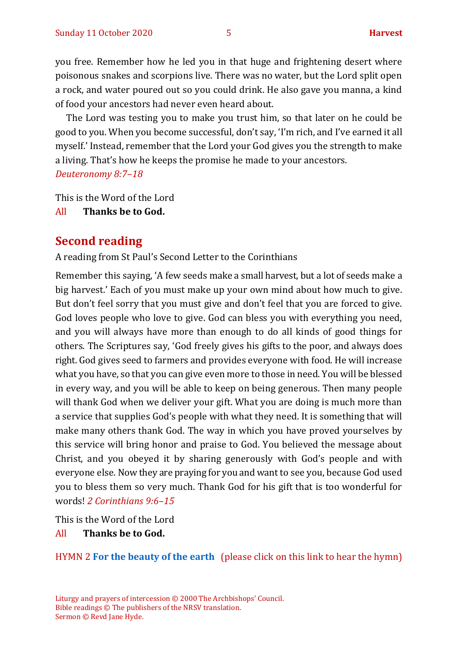you free. Remember how he led you in that huge and frightening desert where poisonous snakes and scorpions live. There was no water, but the Lord split open a rock, and water poured out so you could drink. He also gave you manna, a kind of food your ancestors had never even heard about.

The Lord was testing you to make you trust him, so that later on he could be good to you. When you become successful, don't say, 'I'm rich, and I've earned it all myself.' Instead, remember that the Lord your God gives you the strength to make a living. That's how he keeps the promise he made to your ancestors. *Deuteronomy 8:7–18*

This is the Word of the Lord

All **Thanks be to God.**

# **Second reading**

A reading from St Paul's Second Letter to the Corinthians

Remember this saying, 'A few seeds make a small harvest, but a lot of seeds make a big harvest.' Each of you must make up your own mind about how much to give. But don't feel sorry that you must give and don't feel that you are forced to give. God loves people who love to give. God can bless you with everything you need, and you will always have more than enough to do all kinds of good things for others. The Scriptures say, 'God freely gives his gifts to the poor, and always does right. God gives seed to farmers and provides everyone with food. He will increase what you have, so that you can give even more to those in need. You will be blessed in every way, and you will be able to keep on being generous. Then many people will thank God when we deliver your gift. What you are doing is much more than a service that supplies God's people with what they need. It is something that will make many others thank God. The way in which you have proved yourselves by this service will bring honor and praise to God. You believed the message about Christ, and you obeyed it by sharing generously with God's people and with everyone else. Now they are praying for you and want to see you, because God used you to bless them so very much. Thank God for his gift that is too wonderful for words! *2 Corinthians 9:6–15*

This is the Word of the Lord

#### All **Thanks be to God.**

HYMN 2 **[For the beauty of the earth](https://www.youtube.com/watch?v=MHIfRLNYUGw)** (please click on this link to hear the hymn)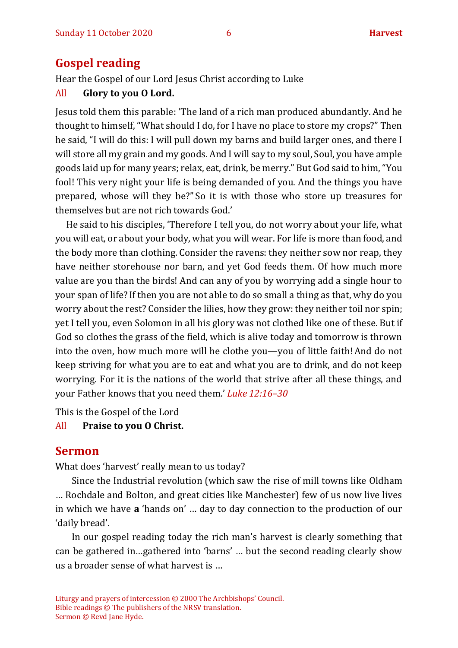### **Gospel reading**

Hear the Gospel of our Lord Jesus Christ according to Luke

#### All **Glory to you O Lord.**

Jesus told them this parable: 'The land of a rich man produced abundantly. And he thought to himself, "What should I do, for I have no place to store my crops?" Then he said, "I will do this: I will pull down my barns and build larger ones, and there I will store all my grain and my goods. And I will say to my soul, Soul, you have ample goods laid up for many years; relax, eat, drink, be merry." But God said to him, "You fool! This very night your life is being demanded of you. And the things you have prepared, whose will they be?" So it is with those who store up treasures for themselves but are not rich towards God.'

He said to his disciples, 'Therefore I tell you, do not worry about your life, what you will eat, or about your body, what you will wear. For life is more than food, and the body more than clothing. Consider the ravens: they neither sow nor reap, they have neither storehouse nor barn, and yet God feeds them. Of how much more value are you than the birds! And can any of you by worrying add a single hour to your span of life? If then you are not able to do so small a thing as that, why do you worry about the rest? Consider the lilies, how they grow: they neither toil nor spin; yet I tell you, even Solomon in all his glory was not clothed like one of these. But if God so clothes the grass of the field, which is alive today and tomorrow is thrown into the oven, how much more will he clothe you—you of little faith!And do not keep striving for what you are to eat and what you are to drink, and do not keep worrying. For it is the nations of the world that strive after all these things, and your Father knows that you need them.' *Luke 12:16–30*

This is the Gospel of the Lord

#### All **Praise to you O Christ.**

#### **Sermon**

What does 'harvest' really mean to us today?

Since the Industrial revolution (which saw the rise of mill towns like Oldham … Rochdale and Bolton, and great cities like Manchester) few of us now live lives in which we have **a** 'hands on' … day to day connection to the production of our 'daily bread'.

In our gospel reading today the rich man's harvest is clearly something that can be gathered in…gathered into 'barns' … but the second reading clearly show us a broader sense of what harvest is …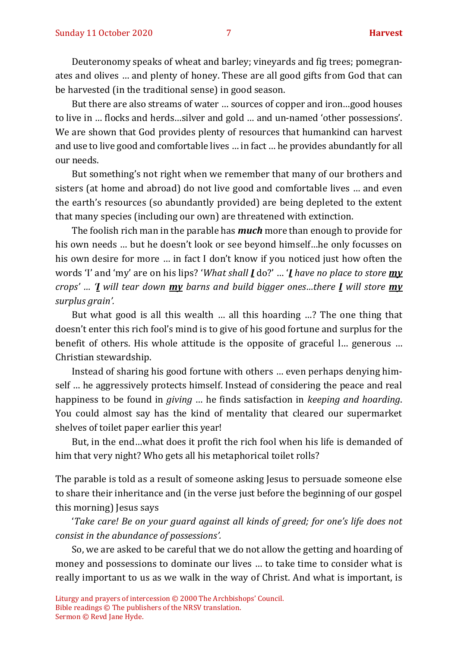Deuteronomy speaks of wheat and barley; vineyards and fig trees; pomegranates and olives … and plenty of honey. These are all good gifts from God that can be harvested (in the traditional sense) in good season.

But there are also streams of water … sources of copper and iron…good houses to live in … flocks and herds…silver and gold … and un-named 'other possessions'. We are shown that God provides plenty of resources that humankind can harvest and use to live good and comfortable lives … in fact … he provides abundantly for all our needs.

But something's not right when we remember that many of our brothers and sisters (at home and abroad) do not live good and comfortable lives … and even the earth's resources (so abundantly provided) are being depleted to the extent that many species (including our own) are threatened with extinction.

The foolish rich man in the parable has *much* more than enough to provide for his own needs … but he doesn't look or see beyond himself…he only focusses on his own desire for more … in fact I don't know if you noticed just how often the words 'I' and 'my' are on his lips? '*What shall I* do?' … '*I have no place to store my crops' … 'I will tear down my barns and build bigger ones…there I will store my surplus grain'.*

But what good is all this wealth … all this hoarding …? The one thing that doesn't enter this rich fool's mind is to give of his good fortune and surplus for the benefit of others. His whole attitude is the opposite of graceful l… generous … Christian stewardship.

Instead of sharing his good fortune with others … even perhaps denying himself … he aggressively protects himself. Instead of considering the peace and real happiness to be found in *giving* … he finds satisfaction in *keeping and hoarding*. You could almost say has the kind of mentality that cleared our supermarket shelves of toilet paper earlier this year!

But, in the end…what does it profit the rich fool when his life is demanded of him that very night? Who gets all his metaphorical toilet rolls?

The parable is told as a result of someone asking Jesus to persuade someone else to share their inheritance and (in the verse just before the beginning of our gospel this morning) Jesus says

'*Take care! Be on your guard against all kinds of greed; for one's life does not consist in the abundance of possessions'.*

So, we are asked to be careful that we do not allow the getting and hoarding of money and possessions to dominate our lives … to take time to consider what is really important to us as we walk in the way of Christ. And what is important, is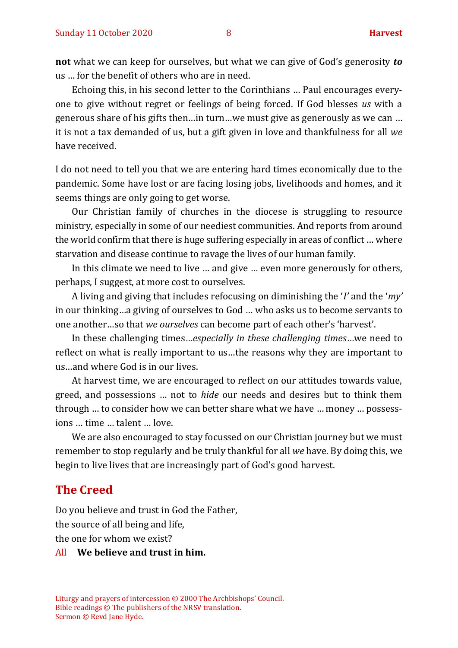**not** what we can keep for ourselves, but what we can give of God's generosity *to* us … for the benefit of others who are in need.

Echoing this, in his second letter to the Corinthians … Paul encourages everyone to give without regret or feelings of being forced. If God blesses *us* with a generous share of his gifts then…in turn…we must give as generously as we can … it is not a tax demanded of us, but a gift given in love and thankfulness for all *we* have received.

I do not need to tell you that we are entering hard times economically due to the pandemic. Some have lost or are facing losing jobs, livelihoods and homes, and it seems things are only going to get worse.

Our Christian family of churches in the diocese is struggling to resource ministry, especially in some of our neediest communities. And reports from around the world confirm that there is huge suffering especially in areas of conflict … where starvation and disease continue to ravage the lives of our human family.

In this climate we need to live … and give … even more generously for others, perhaps, I suggest, at more cost to ourselves.

A living and giving that includes refocusing on diminishing the '*I'* and the '*my'* in our thinking…a giving of ourselves to God … who asks us to become servants to one another…so that *we ourselves* can become part of each other's 'harvest'.

In these challenging times…*especially in these challenging times*…we need to reflect on what is really important to us…the reasons why they are important to us…and where God is in our lives.

At harvest time, we are encouraged to reflect on our attitudes towards value, greed, and possessions … not to *hide* our needs and desires but to think them through … to consider how we can better share what we have … money … possessions … time … talent … love.

We are also encouraged to stay focussed on our Christian journey but we must remember to stop regularly and be truly thankful for all *we* have. By doing this, we begin to live lives that are increasingly part of God's good harvest.

# **The Creed**

Do you believe and trust in God the Father,

the source of all being and life,

the one for whom we exist?

#### All **We believe and trust in him.**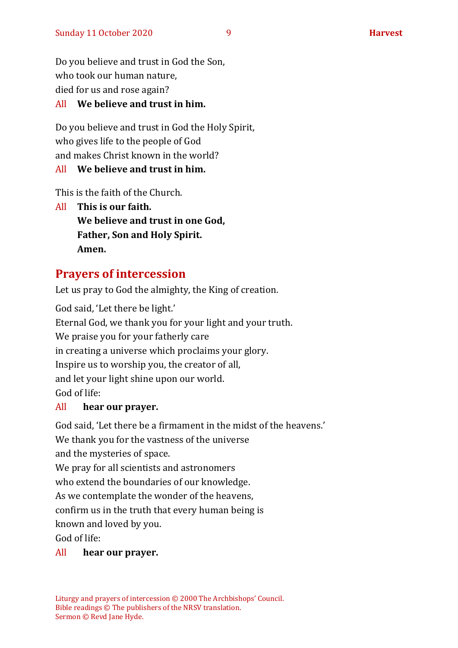Do you believe and trust in God the Son, who took our human nature, died for us and rose again?

#### All **We believe and trust in him.**

Do you believe and trust in God the Holy Spirit, who gives life to the people of God and makes Christ known in the world?

#### All **We believe and trust in him.**

This is the faith of the Church.

All **This is our faith. We believe and trust in one God, Father, Son and Holy Spirit. Amen.**

# **Prayers of intercession**

Let us pray to God the almighty, the King of creation.

God said, 'Let there be light.' Eternal God, we thank you for your light and your truth. We praise you for your fatherly care in creating a universe which proclaims your glory. Inspire us to worship you, the creator of all, and let your light shine upon our world. God of life:

#### All **hear our prayer.**

God said, 'Let there be a firmament in the midst of the heavens.' We thank you for the vastness of the universe and the mysteries of space. We pray for all scientists and astronomers

who extend the boundaries of our knowledge.

As we contemplate the wonder of the heavens,

confirm us in the truth that every human being is

known and loved by you.

God of life:

#### All **hear our prayer.**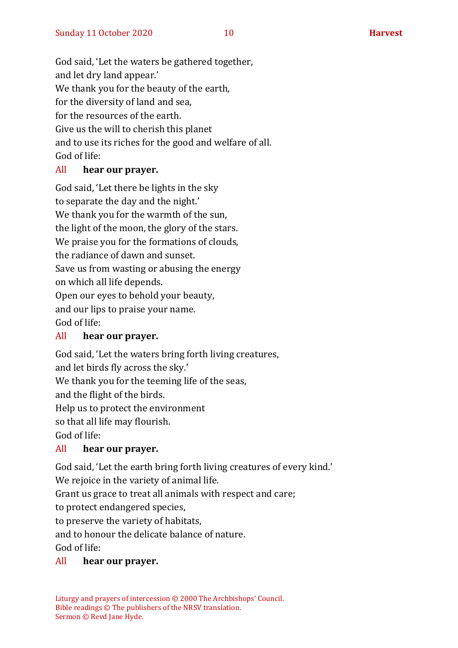God said, 'Let the waters be gathered together, and let dry land appear.' We thank you for the beauty of the earth. for the diversity of land and sea, for the resources of the earth. Give us the will to cherish this planet and to use its riches for the good and welfare of all. God of life:

#### All **hear our prayer.**

God said, 'Let there be lights in the sky to separate the day and the night.' We thank you for the warmth of the sun, the light of the moon, the glory of the stars. We praise you for the formations of clouds, the radiance of dawn and sunset. Save us from wasting or abusing the energy on which all life depends. Open our eyes to behold your beauty, and our lips to praise your name. God of life:

#### All **hear our prayer.**

God said, 'Let the waters bring forth living creatures,

and let birds fly across the sky.'

We thank you for the teeming life of the seas,

and the flight of the birds.

Help us to protect the environment

so that all life may flourish.

God of life:

#### All **hear our prayer.**

God said, 'Let the earth bring forth living creatures of every kind.' We rejoice in the variety of animal life.

Grant us grace to treat all animals with respect and care;

to protect endangered species,

to preserve the variety of habitats,

and to honour the delicate balance of nature.

God of life:

#### All **hear our prayer.**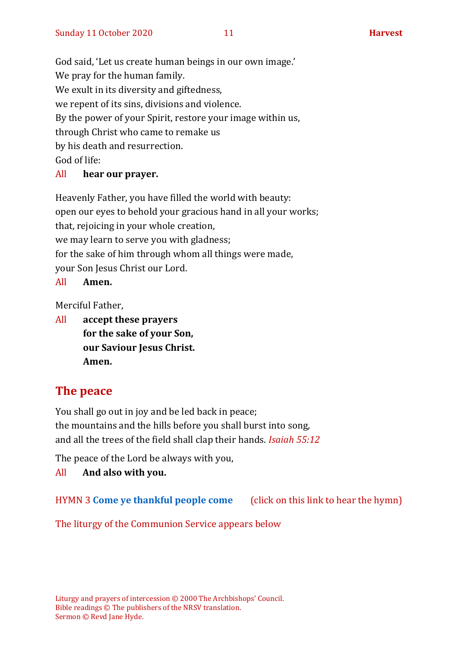God said, 'Let us create human beings in our own image.' We pray for the human family. We exult in its diversity and giftedness. we repent of its sins, divisions and violence. By the power of your Spirit, restore your image within us, through Christ who came to remake us by his death and resurrection. God of life:

#### All **hear our prayer.**

Heavenly Father, you have filled the world with beauty: open our eyes to behold your gracious hand in all your works; that, rejoicing in your whole creation, we may learn to serve you with gladness; for the sake of him through whom all things were made, your Son Jesus Christ our Lord.

All **Amen.**

Merciful Father,

All **accept these prayers for the sake of your Son, our Saviour Jesus Christ. Amen.**

# **The peace**

You shall go out in joy and be led back in peace; the mountains and the hills before you shall burst into song, and all the trees of the field shall clap their hands. *Isaiah 55:12*

The peace of the Lord be always with you,

All **And also with you.**

HYMN 3 **[Come ye thankful people come](https://www.youtube.com/watch?v=t3n7IUCdqAM&t=38s)** (click on this link to hear the hymn)

The liturgy of the Communion Service appears below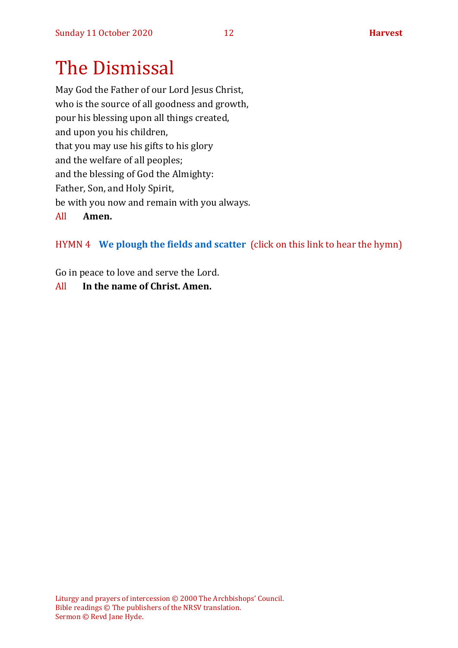# The Dismissal

May God the Father of our Lord Jesus Christ, who is the source of all goodness and growth, pour his blessing upon all things created, and upon you his children, that you may use his gifts to his glory and the welfare of all peoples; and the blessing of God the Almighty: Father, Son, and Holy Spirit, be with you now and remain with you always. All **Amen.**

HYMN 4 **[We plough the fields and scatter](https://www.youtube.com/watch?v=Vb1i_FpDRic)** (click on this link to hear the hymn)

Go in peace to love and serve the Lord.

All **In the name of Christ. Amen.**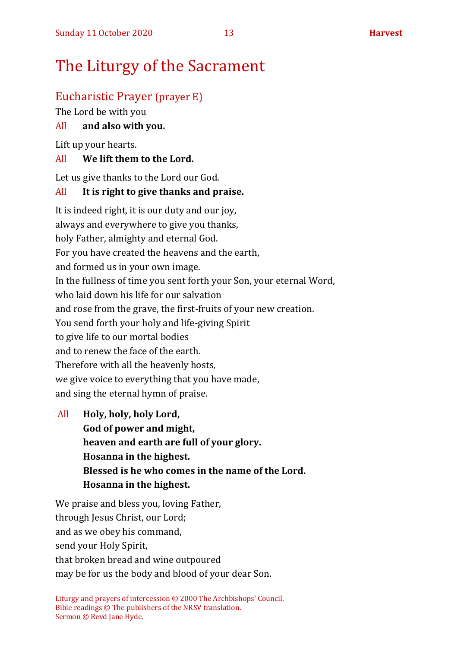# Eucharistic Prayer (prayer E)

The Lord be with you

# All **and also with you.**

Lift up your hearts.

# All **We lift them to the Lord.**

Let us give thanks to the Lord our God.

## All **It is right to give thanks and praise.**

It is indeed right, it is our duty and our joy, always and everywhere to give you thanks, holy Father, almighty and eternal God. For you have created the heavens and the earth, and formed us in your own image. In the fullness of time you sent forth your Son, your eternal Word, who laid down his life for our salvation and rose from the grave, the first-fruits of your new creation. You send forth your holy and life-giving Spirit to give life to our mortal bodies and to renew the face of the earth. Therefore with all the heavenly hosts, we give voice to everything that you have made, and sing the eternal hymn of praise.

All **Holy, holy, holy Lord, God of power and might, heaven and earth are full of your glory. Hosanna in the highest. Blessed is he who comes in the name of the Lord. Hosanna in the highest.**

We praise and bless you, loving Father, through Jesus Christ, our Lord; and as we obey his command, send your Holy Spirit, that broken bread and wine outpoured may be for us the body and blood of your dear Son.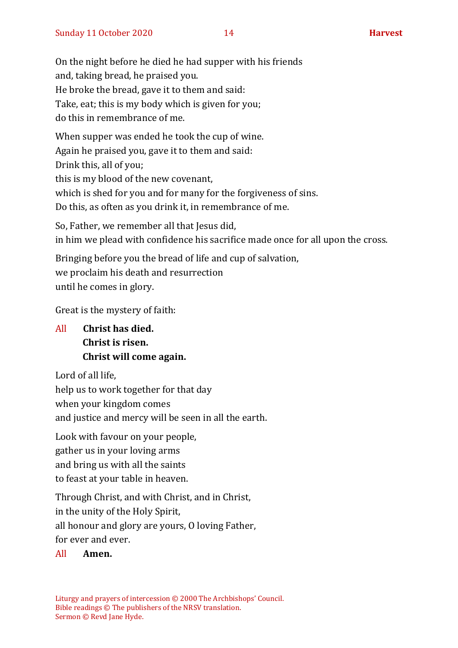On the night before he died he had supper with his friends and, taking bread, he praised you. He broke the bread, gave it to them and said: Take, eat; this is my body which is given for you; do this in remembrance of me.

When supper was ended he took the cup of wine. Again he praised you, gave it to them and said: Drink this, all of you; this is my blood of the new covenant, which is shed for you and for many for the forgiveness of sins. Do this, as often as you drink it, in remembrance of me.

So, Father, we remember all that Jesus did, in him we plead with confidence his sacrifice made once for all upon the cross.

Bringing before you the bread of life and cup of salvation, we proclaim his death and resurrection until he comes in glory.

Great is the mystery of faith:

All **Christ has died. Christ is risen. Christ will come again.**

Lord of all life, help us to work together for that day when your kingdom comes and justice and mercy will be seen in all the earth.

Look with favour on your people, gather us in your loving arms and bring us with all the saints to feast at your table in heaven.

Through Christ, and with Christ, and in Christ, in the unity of the Holy Spirit, all honour and glory are yours, O loving Father, for ever and ever.

All **Amen.**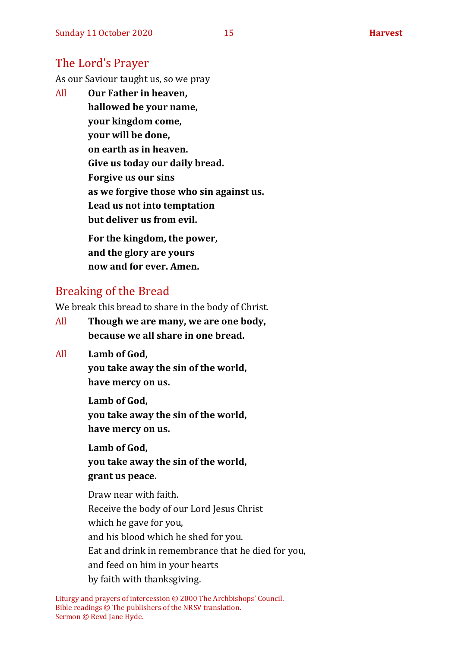## The Lord's Prayer

As our Saviour taught us, so we pray

All **Our Father in heaven, hallowed be your name, your kingdom come, your will be done, on earth as in heaven. Give us today our daily bread. Forgive us our sins as we forgive those who sin against us. Lead us not into temptation but deliver us from evil. For the kingdom, the power,** 

**and the glory are yours now and for ever. Amen.**

## Breaking of the Bread

We break this bread to share in the body of Christ.

- All **Though we are many, we are one body, because we all share in one bread.**
- All **Lamb of God,**

**you take away the sin of the world, have mercy on us.**

**Lamb of God, you take away the sin of the world, have mercy on us.**

**Lamb of God, you take away the sin of the world, grant us peace.**

Draw near with faith. Receive the body of our Lord Jesus Christ which he gave for you, and his blood which he shed for you. Eat and drink in remembrance that he died for you, and feed on him in your hearts by faith with thanksgiving.